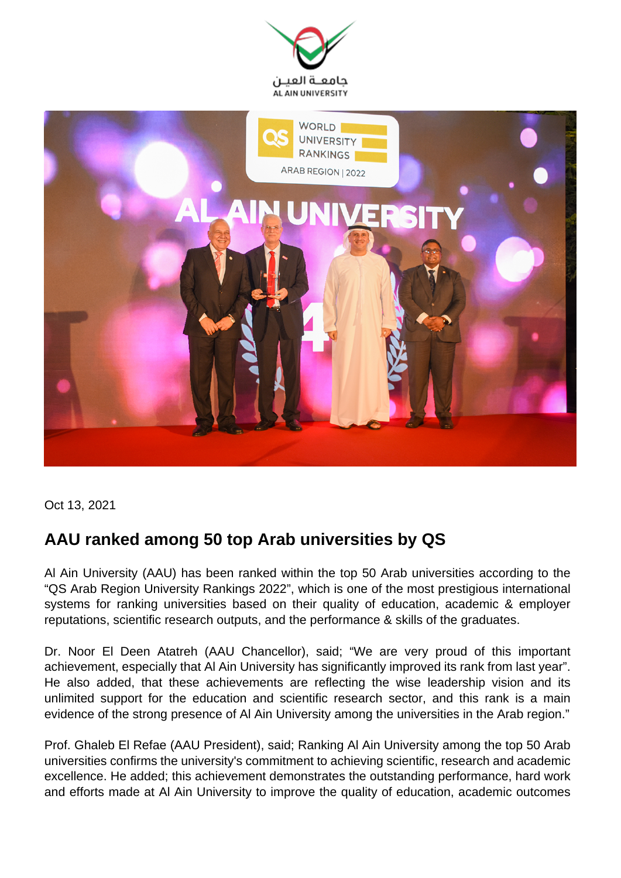



Oct 13, 2021

## **AAU ranked among 50 top Arab universities by QS**

Al Ain University (AAU) has been ranked within the top 50 Arab universities according to the "QS Arab Region University Rankings 2022", which is one of the most prestigious international systems for ranking universities based on their quality of education, academic & employer reputations, scientific research outputs, and the performance & skills of the graduates.

Dr. Noor El Deen Atatreh (AAU Chancellor), said; "We are very proud of this important achievement, especially that Al Ain University has significantly improved its rank from last year". He also added, that these achievements are reflecting the wise leadership vision and its unlimited support for the education and scientific research sector, and this rank is a main evidence of the strong presence of Al Ain University among the universities in the Arab region."

Prof. Ghaleb El Refae (AAU President), said; Ranking Al Ain University among the top 50 Arab universities confirms the university's commitment to achieving scientific, research and academic excellence. He added; this achievement demonstrates the outstanding performance, hard work and efforts made at Al Ain University to improve the quality of education, academic outcomes